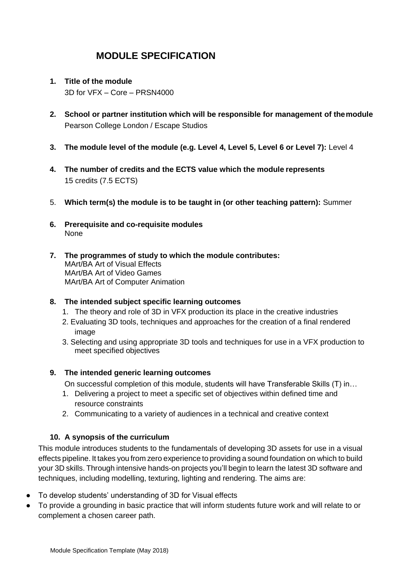- **1. Title of the module** 3D for VFX – Core – PRSN4000
- **2. School or partner institution which will be responsible for management of themodule** Pearson College London / Escape Studios
- **3. The module level of the module (e.g. Level 4, Level 5, Level 6 or Level 7):** Level 4
- **4. The number of credits and the ECTS value which the module represents** 15 credits (7.5 ECTS)
- 5. **Which term(s) the module is to be taught in (or other teaching pattern):** Summer
- **6. Prerequisite and co-requisite modules** None
- **7. The programmes of study to which the module contributes:**  MArt/BA Art of Visual Effects MArt/BA Art of Video Games MArt/BA Art of Computer Animation

### **8. The intended subject specific learning outcomes**

- 1. The theory and role of 3D in VFX production its place in the creative industries
- 2. Evaluating 3D tools, techniques and approaches for the creation of a final rendered image
- 3. Selecting and using appropriate 3D tools and techniques for use in a VFX production to meet specified objectives

### **9. The intended generic learning outcomes**

On successful completion of this module, students will have Transferable Skills (T) in…

- 1. Delivering a project to meet a specific set of objectives within defined time and resource constraints
- 2. Communicating to a variety of audiences in a technical and creative context

### **10. A synopsis of the curriculum**

This module introduces students to the fundamentals of developing 3D assets for use in a visual effects pipeline. It takes you from zero experience to providing a sound foundation on which to build your 3D skills. Through intensive hands-on projects you'll begin to learn the latest 3D software and techniques, including modelling, texturing, lighting and rendering. The aims are:

- To develop students' understanding of 3D for Visual effects
- To provide a grounding in basic practice that will inform students future work and will relate to or complement a chosen career path.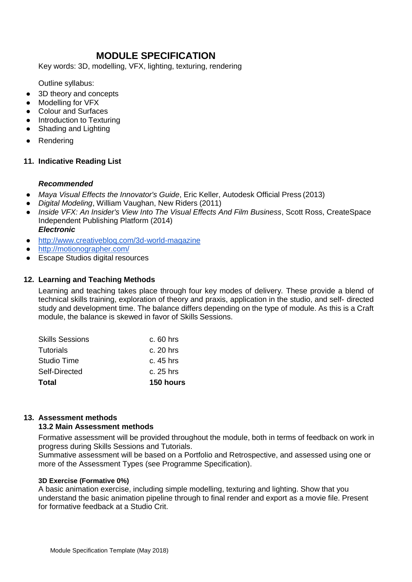Key words: 3D, modelling, VFX, lighting, texturing, rendering

Outline syllabus:

- 3D theory and concepts
- **Modelling for VFX**
- Colour and Surfaces
- Introduction to Texturing
- Shading and Lighting
- Rendering

### **11. Indicative Reading List**

#### *Recommended*

- *Maya Visual Effects the Innovator's Guide*, Eric Keller, Autodesk Official Press (2013)
- *Digital Modeling*, William Vaughan, New Riders (2011)
- *Inside VFX: An Insider's View Into The Visual Effects And Film Business*, Scott Ross, CreateSpace Independent Publishing Platform (2014) *Electronic*
- http://www.creativeblog.com/3d-world-magazine
- <http://motionographer.com/>
- Escape Studios digital resources

### **12. Learning and Teaching Methods**

Learning and teaching takes place through four key modes of delivery. These provide a blend of technical skills training, exploration of theory and praxis, application in the studio, and self- directed study and development time. The balance differs depending on the type of module. As this is a Craft module, the balance is skewed in favor of Skills Sessions.

| Total                  | 150 hours   |
|------------------------|-------------|
| Self-Directed          | c. 25 hrs   |
| <b>Studio Time</b>     | c. 45 hrs   |
| Tutorials              | $c. 20$ hrs |
| <b>Skills Sessions</b> | $c.60$ hrs  |

### **13. Assessment methods**

### **13.2 Main Assessment methods**

Formative assessment will be provided throughout the module, both in terms of feedback on work in progress during Skills Sessions and Tutorials.

Summative assessment will be based on a Portfolio and Retrospective, and assessed using one or more of the Assessment Types (see Programme Specification).

#### **3D Exercise (Formative 0%)**

A basic animation exercise, including simple modelling, texturing and lighting. Show that you understand the basic animation pipeline through to final render and export as a movie file. Present for formative feedback at a Studio Crit.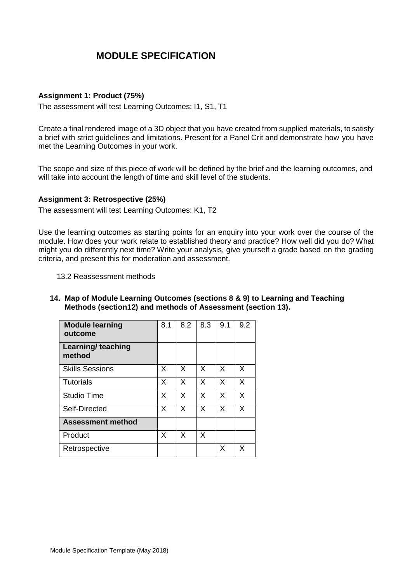#### **Assignment 1: Product (75%)**

The assessment will test Learning Outcomes: I1, S1, T1

Create a final rendered image of a 3D object that you have created from supplied materials, to satisfy a brief with strict guidelines and limitations. Present for a Panel Crit and demonstrate how you have met the Learning Outcomes in your work.

The scope and size of this piece of work will be defined by the brief and the learning outcomes, and will take into account the length of time and skill level of the students.

#### **Assignment 3: Retrospective (25%)**

The assessment will test Learning Outcomes: K1, T2

Use the learning outcomes as starting points for an enquiry into your work over the course of the module. How does your work relate to established theory and practice? How well did you do? What might you do differently next time? Write your analysis, give yourself a grade based on the grading criteria, and present this for moderation and assessment.

- 13.2 Reassessment methods
- **14. Map of Module Learning Outcomes (sections 8 & 9) to Learning and Teaching Methods (section12) and methods of Assessment (section 13).**

| <b>Module learning</b><br>outcome   | 8.1 | 8.2          | 8.3          | 9.1 | 9.2 |
|-------------------------------------|-----|--------------|--------------|-----|-----|
| <b>Learning/ teaching</b><br>method |     |              |              |     |     |
| <b>Skills Sessions</b>              | X   | X            | X            | X   | X   |
| <b>Tutorials</b>                    | X   | $\mathsf{x}$ | $\times$     | X   | X   |
| <b>Studio Time</b>                  | X   | X            | $\mathsf{x}$ | X   | X   |
| Self-Directed                       | X   | X            | X            | X   | X   |
| <b>Assessment method</b>            |     |              |              |     |     |
| Product                             | X   | X            | X            |     |     |
| Retrospective                       |     |              |              | X   | x   |